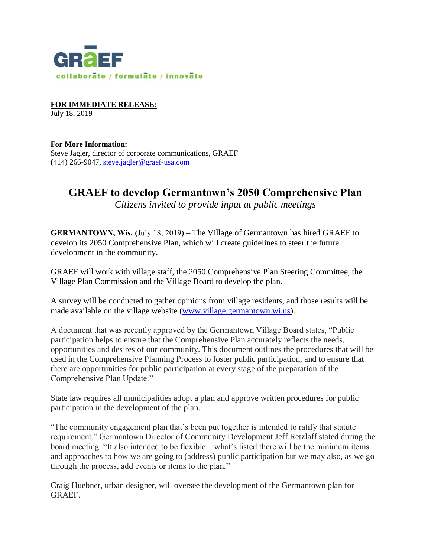

**FOR IMMEDIATE RELEASE:**  July 18, 2019

**For More Information:** Steve Jagler, director of corporate communications, GRAEF (414) 266-9047, [steve.jagler@graef-usa.com](mailto:steve.jagler@graef-usa.com)

## **GRAEF to develop Germantown's 2050 Comprehensive Plan**

*Citizens invited to provide input at public meetings*

**GERMANTOWN, Wis. (**July 18, 2019**)** – The Village of Germantown has hired GRAEF to develop its 2050 Comprehensive Plan, which will create guidelines to steer the future development in the community.

GRAEF will work with village staff, the 2050 Comprehensive Plan Steering Committee, the Village Plan Commission and the Village Board to develop the plan.

A survey will be conducted to gather opinions from village residents, and those results will be made available on the village website [\(www.village.germantown.wi.us\)](http://www.village.germantown.wi.us/).

A document that was recently approved by the Germantown Village Board states, "Public participation helps to ensure that the Comprehensive Plan accurately reflects the needs, opportunities and desires of our community. This document outlines the procedures that will be used in the Comprehensive Planning Process to foster public participation, and to ensure that there are opportunities for public participation at every stage of the preparation of the Comprehensive Plan Update."

State law requires all municipalities adopt a plan and approve written procedures for public participation in the development of the plan.

"The community engagement plan that's been put together is intended to ratify that statute requirement," Germantown Director of Community Development Jeff Retzlaff stated during the board meeting. "It also intended to be flexible – what's listed there will be the minimum items and approaches to how we are going to (address) public participation but we may also, as we go through the process, add events or items to the plan."

Craig Huebner, urban designer, will oversee the development of the Germantown plan for GRAEF.